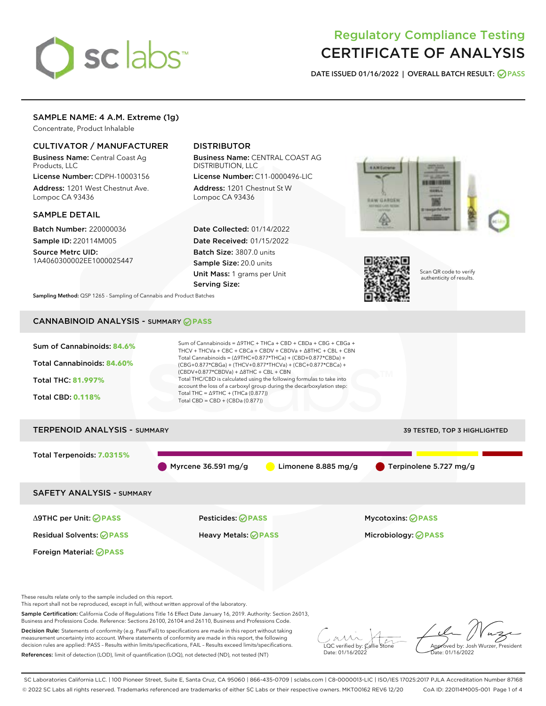

# Regulatory Compliance Testing CERTIFICATE OF ANALYSIS

DATE ISSUED 01/16/2022 | OVERALL BATCH RESULT: @ PASS

# SAMPLE NAME: 4 A.M. Extreme (1g)

Concentrate, Product Inhalable

## CULTIVATOR / MANUFACTURER

Business Name: Central Coast Ag Products, LLC

License Number: CDPH-10003156 Address: 1201 West Chestnut Ave. Lompoc CA 93436

#### SAMPLE DETAIL

Batch Number: 220000036 Sample ID: 220114M005

Source Metrc UID: 1A4060300002EE1000025447

# DISTRIBUTOR

Business Name: CENTRAL COAST AG DISTRIBUTION, LLC

License Number: C11-0000496-LIC Address: 1201 Chestnut St W Lompoc CA 93436

Date Collected: 01/14/2022 Date Received: 01/15/2022 Batch Size: 3807.0 units Sample Size: 20.0 units Unit Mass: 1 grams per Unit Serving Size:





Scan QR code to verify authenticity of results.

Sampling Method: QSP 1265 - Sampling of Cannabis and Product Batches

# CANNABINOID ANALYSIS - SUMMARY **PASS**



References: limit of detection (LOD), limit of quantification (LOQ), not detected (ND), not tested (NT)

LQC verified by: Callie Stone Date: 01/16/2022

Approved by: Josh Wurzer, President ate: 01/16/2022

SC Laboratories California LLC. | 100 Pioneer Street, Suite E, Santa Cruz, CA 95060 | 866-435-0709 | sclabs.com | C8-0000013-LIC | ISO/IES 17025:2017 PJLA Accreditation Number 87168 © 2022 SC Labs all rights reserved. Trademarks referenced are trademarks of either SC Labs or their respective owners. MKT00162 REV6 12/20 CoA ID: 220114M005-001 Page 1 of 4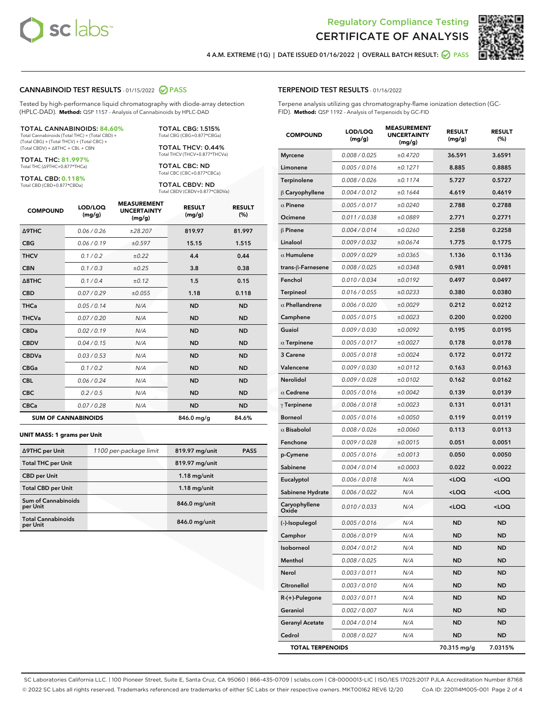![](_page_1_Picture_0.jpeg)

![](_page_1_Picture_2.jpeg)

4 A.M. EXTREME (1G) | DATE ISSUED 01/16/2022 | OVERALL BATCH RESULT:  $\bigcirc$  PASS

#### CANNABINOID TEST RESULTS - 01/15/2022 2 PASS

Tested by high-performance liquid chromatography with diode-array detection (HPLC-DAD). **Method:** QSP 1157 - Analysis of Cannabinoids by HPLC-DAD

#### TOTAL CANNABINOIDS: **84.60%**

Total Cannabinoids (Total THC) + (Total CBD) + (Total CBG) + (Total THCV) + (Total CBC) + (Total CBDV) + ∆8THC + CBL + CBN

TOTAL THC: **81.997%** Total THC (∆9THC+0.877\*THCa)

TOTAL CBD: **0.118%**

Total CBD (CBD+0.877\*CBDa)

TOTAL CBG: 1.515% Total CBG (CBG+0.877\*CBGa)

TOTAL THCV: 0.44% Total THCV (THCV+0.877\*THCVa)

TOTAL CBC: ND Total CBC (CBC+0.877\*CBCa)

TOTAL CBDV: ND Total CBDV (CBDV+0.877\*CBDVa)

| <b>COMPOUND</b>  | LOD/LOQ<br>(mg/g)          | <b>MEASUREMENT</b><br><b>UNCERTAINTY</b><br>(mg/g) | <b>RESULT</b><br>(mg/g) | <b>RESULT</b><br>(%) |
|------------------|----------------------------|----------------------------------------------------|-------------------------|----------------------|
| <b>A9THC</b>     | 0.06 / 0.26                | ±28.207                                            | 819.97                  | 81.997               |
| <b>CBG</b>       | 0.06/0.19                  | ±0.597                                             | 15.15                   | 1.515                |
| <b>THCV</b>      | 0.1 / 0.2                  | ±0.22                                              | 4.4                     | 0.44                 |
| <b>CBN</b>       | 0.1/0.3                    | ±0.25                                              | 3.8                     | 0.38                 |
| $\triangle$ 8THC | 0.1/0.4                    | ±0.12                                              | 1.5                     | 0.15                 |
| <b>CBD</b>       | 0.07/0.29                  | ±0.055                                             | 1.18                    | 0.118                |
| <b>THCa</b>      | 0.05/0.14                  | N/A                                                | <b>ND</b>               | <b>ND</b>            |
| <b>THCVa</b>     | 0.07/0.20                  | N/A                                                | <b>ND</b>               | <b>ND</b>            |
| <b>CBDa</b>      | 0.02/0.19                  | N/A                                                | <b>ND</b>               | <b>ND</b>            |
| <b>CBDV</b>      | 0.04 / 0.15                | N/A                                                | <b>ND</b>               | <b>ND</b>            |
| <b>CBDVa</b>     | 0.03/0.53                  | N/A                                                | <b>ND</b>               | <b>ND</b>            |
| <b>CBGa</b>      | 0.1/0.2                    | N/A                                                | <b>ND</b>               | <b>ND</b>            |
| <b>CBL</b>       | 0.06 / 0.24                | N/A                                                | <b>ND</b>               | <b>ND</b>            |
| <b>CBC</b>       | 0.2 / 0.5                  | N/A                                                | <b>ND</b>               | <b>ND</b>            |
| <b>CBCa</b>      | 0.07/0.28                  | N/A                                                | <b>ND</b>               | <b>ND</b>            |
|                  | <b>SUM OF CANNABINOIDS</b> |                                                    | 846.0 mg/g              | 84.6%                |

#### **UNIT MASS: 1 grams per Unit**

| ∆9THC per Unit                         | 1100 per-package limit | 819.97 mg/unit | <b>PASS</b> |
|----------------------------------------|------------------------|----------------|-------------|
| <b>Total THC per Unit</b>              |                        | 819.97 mg/unit |             |
| <b>CBD per Unit</b>                    |                        | $1.18$ mg/unit |             |
| <b>Total CBD per Unit</b>              |                        | $1.18$ mg/unit |             |
| <b>Sum of Cannabinoids</b><br>per Unit |                        | 846.0 mg/unit  |             |
| <b>Total Cannabinoids</b><br>per Unit  |                        | 846.0 mg/unit  |             |

| <b>COMPOUND</b>         | LOD/LOQ<br>(mg/g) | ASUREIVI<br><b>UNCERTAINTY</b><br>(mg/g) | <b>RESULT</b><br>(mg/g)                         | <b>RESULT</b><br>$(\%)$ |
|-------------------------|-------------------|------------------------------------------|-------------------------------------------------|-------------------------|
| <b>Myrcene</b>          | 0.008 / 0.025     | ±0.4720                                  | 36.591                                          | 3.6591                  |
| Limonene                | 0.005 / 0.016     | ±0.1271                                  | 8.885                                           | 0.8885                  |
| Terpinolene             | 0.008 / 0.026     | ±0.1174                                  | 5.727                                           | 0.5727                  |
| B Caryophyllene         | 0.004 / 0.012     | ±0.1644                                  | 4.619                                           | 0.4619                  |
| $\alpha$ Pinene         | 0.005 / 0.017     | ±0.0240                                  | 2.788                                           | 0.2788                  |
| Ocimene                 | 0.011 / 0.038     | ±0.0889                                  | 2.771                                           | 0.2771                  |
| $\beta$ Pinene          | 0.004 / 0.014     | ±0.0260                                  | 2.258                                           | 0.2258                  |
| Linalool                | 0.009 / 0.032     | ±0.0674                                  | 1.775                                           | 0.1775                  |
| $\alpha$ Humulene       | 0.009 / 0.029     | ±0.0365                                  | 1.136                                           | 0.1136                  |
| trans-β-Farnesene       | 0.008 / 0.025     | ±0.0348                                  | 0.981                                           | 0.0981                  |
| Fenchol                 | 0.010 / 0.034     | ±0.0192                                  | 0.497                                           | 0.0497                  |
| Terpineol               | 0.016 / 0.055     | ±0.0233                                  | 0.380                                           | 0.0380                  |
| $\alpha$ Phellandrene   | 0.006 / 0.020     | ±0.0029                                  | 0.212                                           | 0.0212                  |
| Camphene                | 0.005 / 0.015     | ±0.0023                                  | 0.200                                           | 0.0200                  |
| Guaiol                  | 0.009 / 0.030     | ±0.0092                                  | 0.195                                           | 0.0195                  |
| $\alpha$ Terpinene      | 0.005 / 0.017     | ±0.0027                                  | 0.178                                           | 0.0178                  |
| 3 Carene                | 0.005 / 0.018     | ±0.0024                                  | 0.172                                           | 0.0172                  |
| Valencene               | 0.009 / 0.030     | ±0.0112                                  | 0.163                                           | 0.0163                  |
| Nerolidol               | 0.009 / 0.028     | ±0.0102                                  | 0.162                                           | 0.0162                  |
| $\alpha$ Cedrene        | 0.005 / 0.016     | ±0.0042                                  | 0.139                                           | 0.0139                  |
| $\gamma$ Terpinene      | 0.006 / 0.018     | ±0.0023                                  | 0.131                                           | 0.0131                  |
| <b>Borneol</b>          | 0.005 / 0.016     | ±0.0050                                  | 0.119                                           | 0.0119                  |
| $\alpha$ Bisabolol      | 0.008 / 0.026     | ±0.0060                                  | 0.113                                           | 0.0113                  |
| Fenchone                | 0.009 / 0.028     | ±0.0015                                  | 0.051                                           | 0.0051                  |
| p-Cymene                | 0.005 / 0.016     | ±0.0013                                  | 0.050                                           | 0.0050                  |
| Sabinene                | 0.004 / 0.014     | ±0.0003                                  | 0.022                                           | 0.0022                  |
| Eucalyptol              | 0.006 / 0.018     | N/A                                      | <loq< th=""><th><loq< th=""></loq<></th></loq<> | <loq< th=""></loq<>     |
| Sabinene Hydrate        | 0.006 / 0.022     | N/A                                      | <loq< th=""><th><loq< th=""></loq<></th></loq<> | <loq< th=""></loq<>     |
| Caryophyllene<br>Oxide  | 0.010 / 0.033     | N/A                                      | <loq< th=""><th><loq< th=""></loq<></th></loq<> | <loq< th=""></loq<>     |
| (-)-Isopulegol          | 0.005 / 0.016     | N/A                                      | <b>ND</b>                                       | <b>ND</b>               |
| Camphor                 | 0.006 / 0.019     | N/A                                      | ND                                              | ND                      |
| Isoborneol              | 0.004 / 0.012     | N/A                                      | ND                                              | ND                      |
| Menthol                 | 0.008 / 0.025     | N/A                                      | ND                                              | <b>ND</b>               |
| Nerol                   | 0.003 / 0.011     | N/A                                      | ND                                              | ND                      |
| Citronellol             | 0.003 / 0.010     | N/A                                      | ND                                              | ND                      |
| $R-(+)$ -Pulegone       | 0.003 / 0.011     | N/A                                      | ND                                              | <b>ND</b>               |
| Geraniol                | 0.002 / 0.007     | N/A                                      | ND                                              | ND                      |
| <b>Geranyl Acetate</b>  | 0.004 / 0.014     | N/A                                      | ND                                              | ND                      |
| Cedrol                  | 0.008 / 0.027     | N/A                                      | ND                                              | ND                      |
| <b>TOTAL TERPENOIDS</b> |                   |                                          | 70.315 mg/g                                     | 7.0315%                 |

SC Laboratories California LLC. | 100 Pioneer Street, Suite E, Santa Cruz, CA 95060 | 866-435-0709 | sclabs.com | C8-0000013-LIC | ISO/IES 17025:2017 PJLA Accreditation Number 87168 © 2022 SC Labs all rights reserved. Trademarks referenced are trademarks of either SC Labs or their respective owners. MKT00162 REV6 12/20 CoA ID: 220114M005-001 Page 2 of 4

# TERPENOID TEST RESULTS - 01/16/2022

Terpene analysis utilizing gas chromatography-flame ionization detection (GC-FID). **Method:** QSP 1192 - Analysis of Terpenoids by GC-FID

MEACUREMENT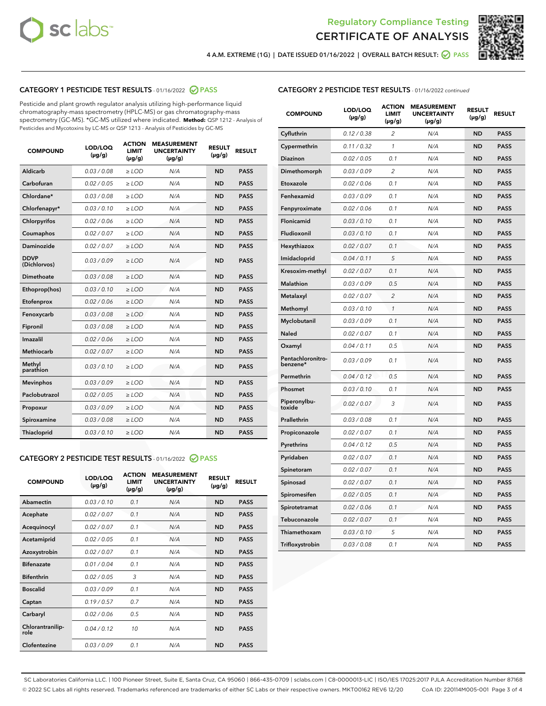![](_page_2_Picture_0.jpeg)

![](_page_2_Picture_2.jpeg)

4 A.M. EXTREME (1G) | DATE ISSUED 01/16/2022 | OVERALL BATCH RESULT:  $\bigotimes$  PASS

# CATEGORY 1 PESTICIDE TEST RESULTS - 01/16/2022 2 PASS

Pesticide and plant growth regulator analysis utilizing high-performance liquid chromatography-mass spectrometry (HPLC-MS) or gas chromatography-mass spectrometry (GC-MS). \*GC-MS utilized where indicated. **Method:** QSP 1212 - Analysis of Pesticides and Mycotoxins by LC-MS or QSP 1213 - Analysis of Pesticides by GC-MS

| <b>COMPOUND</b>             | LOD/LOQ<br>$(\mu g/g)$ | <b>ACTION</b><br>LIMIT<br>$(\mu g/g)$ | <b>MEASUREMENT</b><br><b>UNCERTAINTY</b><br>$(\mu g/g)$ | <b>RESULT</b><br>$(\mu g/g)$ | <b>RESULT</b> |
|-----------------------------|------------------------|---------------------------------------|---------------------------------------------------------|------------------------------|---------------|
| Aldicarb                    | 0.03/0.08              | $>$ LOD                               | N/A                                                     | <b>ND</b>                    | <b>PASS</b>   |
| Carbofuran                  | 0.02 / 0.05            | ≥ LOD                                 | N/A                                                     | <b>ND</b>                    | <b>PASS</b>   |
| Chlordane*                  | 0.03 / 0.08            | ≥ LOD                                 | N/A                                                     | <b>ND</b>                    | <b>PASS</b>   |
| Chlorfenapyr*               | 0.03/0.10              | $\ge$ LOD                             | N/A                                                     | <b>ND</b>                    | <b>PASS</b>   |
| Chlorpyrifos                | 0.02 / 0.06            | $>$ LOD                               | N/A                                                     | <b>ND</b>                    | <b>PASS</b>   |
| Coumaphos                   | 0.02 / 0.07            | ≥ LOD                                 | N/A                                                     | <b>ND</b>                    | <b>PASS</b>   |
| Daminozide                  | 0.02 / 0.07            | $\geq$ LOD                            | N/A                                                     | <b>ND</b>                    | <b>PASS</b>   |
| <b>DDVP</b><br>(Dichlorvos) | 0.03/0.09              | $\geq$ LOD                            | N/A                                                     | <b>ND</b>                    | <b>PASS</b>   |
| Dimethoate                  | 0.03 / 0.08            | $>$ LOD                               | N/A                                                     | <b>ND</b>                    | <b>PASS</b>   |
| Ethoprop(hos)               | 0.03/0.10              | > LOD                                 | N/A                                                     | <b>ND</b>                    | <b>PASS</b>   |
| Etofenprox                  | 0.02 / 0.06            | $\ge$ LOD                             | N/A                                                     | <b>ND</b>                    | <b>PASS</b>   |
| Fenoxycarb                  | 0.03 / 0.08            | $\geq$ LOD                            | N/A                                                     | <b>ND</b>                    | <b>PASS</b>   |
| Fipronil                    | 0.03/0.08              | $>$ LOD                               | N/A                                                     | <b>ND</b>                    | <b>PASS</b>   |
| Imazalil                    | 0.02 / 0.06            | $>$ LOD                               | N/A                                                     | <b>ND</b>                    | <b>PASS</b>   |
| Methiocarb                  | 0.02 / 0.07            | $>$ LOD                               | N/A                                                     | <b>ND</b>                    | <b>PASS</b>   |
| Methyl<br>parathion         | 0.03/0.10              | > LOD                                 | N/A                                                     | <b>ND</b>                    | <b>PASS</b>   |
| <b>Mevinphos</b>            | 0.03 / 0.09            | $>$ LOD                               | N/A                                                     | <b>ND</b>                    | <b>PASS</b>   |
| Paclobutrazol               | 0.02 / 0.05            | $\ge$ LOD                             | N/A                                                     | <b>ND</b>                    | <b>PASS</b>   |
| Propoxur                    | 0.03/0.09              | $\ge$ LOD                             | N/A                                                     | <b>ND</b>                    | <b>PASS</b>   |
| Spiroxamine                 | 0.03 / 0.08            | $\geq$ LOD                            | N/A                                                     | <b>ND</b>                    | <b>PASS</b>   |
| <b>Thiacloprid</b>          | 0.03/0.10              | $\geq$ LOD                            | N/A                                                     | <b>ND</b>                    | <b>PASS</b>   |
|                             |                        |                                       |                                                         |                              |               |

#### CATEGORY 2 PESTICIDE TEST RESULTS - 01/16/2022 2 PASS

| <b>COMPOUND</b>          | LOD/LOO<br>$(\mu g/g)$ | <b>ACTION</b><br>LIMIT<br>$(\mu g/g)$ | <b>MEASUREMENT</b><br><b>UNCERTAINTY</b><br>$(\mu g/g)$ | <b>RESULT</b><br>$(\mu g/g)$ | <b>RESULT</b> |
|--------------------------|------------------------|---------------------------------------|---------------------------------------------------------|------------------------------|---------------|
| Abamectin                | 0.03/0.10              | 0.1                                   | N/A                                                     | <b>ND</b>                    | <b>PASS</b>   |
| Acephate                 | 0.02/0.07              | 0.1                                   | N/A                                                     | <b>ND</b>                    | <b>PASS</b>   |
| Acequinocyl              | 0.02/0.07              | 0.1                                   | N/A                                                     | <b>ND</b>                    | <b>PASS</b>   |
| Acetamiprid              | 0.02 / 0.05            | 0.1                                   | N/A                                                     | <b>ND</b>                    | <b>PASS</b>   |
| Azoxystrobin             | 0.02/0.07              | 0.1                                   | N/A                                                     | <b>ND</b>                    | <b>PASS</b>   |
| <b>Bifenazate</b>        | 0.01 / 0.04            | 0.1                                   | N/A                                                     | <b>ND</b>                    | <b>PASS</b>   |
| <b>Bifenthrin</b>        | 0.02 / 0.05            | 3                                     | N/A                                                     | <b>ND</b>                    | <b>PASS</b>   |
| <b>Boscalid</b>          | 0.03/0.09              | 0.1                                   | N/A                                                     | <b>ND</b>                    | <b>PASS</b>   |
| Captan                   | 0.19/0.57              | 0.7                                   | N/A                                                     | <b>ND</b>                    | <b>PASS</b>   |
| Carbaryl                 | 0.02/0.06              | 0.5                                   | N/A                                                     | <b>ND</b>                    | <b>PASS</b>   |
| Chlorantranilip-<br>role | 0.04/0.12              | 10                                    | N/A                                                     | <b>ND</b>                    | <b>PASS</b>   |
| Clofentezine             | 0.03/0.09              | 0.1                                   | N/A                                                     | <b>ND</b>                    | <b>PASS</b>   |

## CATEGORY 2 PESTICIDE TEST RESULTS - 01/16/2022 continued

| <b>COMPOUND</b>               | LOD/LOQ<br>(µg/g) | <b>ACTION</b><br><b>LIMIT</b><br>(µg/g) | <b>MEASUREMENT</b><br><b>UNCERTAINTY</b><br>$(\mu g/g)$ | <b>RESULT</b><br>(µg/g) | <b>RESULT</b> |
|-------------------------------|-------------------|-----------------------------------------|---------------------------------------------------------|-------------------------|---------------|
| Cyfluthrin                    | 0.12 / 0.38       | $\overline{c}$                          | N/A                                                     | <b>ND</b>               | <b>PASS</b>   |
| Cypermethrin                  | 0.11/0.32         | 1                                       | N/A                                                     | <b>ND</b>               | <b>PASS</b>   |
| <b>Diazinon</b>               | 0.02 / 0.05       | 0.1                                     | N/A                                                     | <b>ND</b>               | <b>PASS</b>   |
| Dimethomorph                  | 0.03/0.09         | 2                                       | N/A                                                     | <b>ND</b>               | <b>PASS</b>   |
| Etoxazole                     | 0.02 / 0.06       | 0.1                                     | N/A                                                     | <b>ND</b>               | <b>PASS</b>   |
| Fenhexamid                    | 0.03 / 0.09       | 0.1                                     | N/A                                                     | <b>ND</b>               | <b>PASS</b>   |
| Fenpyroximate                 | 0.02 / 0.06       | 0.1                                     | N/A                                                     | <b>ND</b>               | <b>PASS</b>   |
| Flonicamid                    | 0.03 / 0.10       | 0.1                                     | N/A                                                     | ND                      | <b>PASS</b>   |
| Fludioxonil                   | 0.03 / 0.10       | 0.1                                     | N/A                                                     | <b>ND</b>               | <b>PASS</b>   |
| Hexythiazox                   | 0.02 / 0.07       | 0.1                                     | N/A                                                     | <b>ND</b>               | <b>PASS</b>   |
| Imidacloprid                  | 0.04 / 0.11       | 5                                       | N/A                                                     | <b>ND</b>               | <b>PASS</b>   |
| Kresoxim-methyl               | 0.02 / 0.07       | 0.1                                     | N/A                                                     | <b>ND</b>               | <b>PASS</b>   |
| <b>Malathion</b>              | 0.03 / 0.09       | 0.5                                     | N/A                                                     | <b>ND</b>               | <b>PASS</b>   |
| Metalaxyl                     | 0.02 / 0.07       | 2                                       | N/A                                                     | <b>ND</b>               | <b>PASS</b>   |
| Methomyl                      | 0.03 / 0.10       | 1                                       | N/A                                                     | <b>ND</b>               | <b>PASS</b>   |
| Myclobutanil                  | 0.03 / 0.09       | 0.1                                     | N/A                                                     | <b>ND</b>               | <b>PASS</b>   |
| Naled                         | 0.02 / 0.07       | 0.1                                     | N/A                                                     | <b>ND</b>               | <b>PASS</b>   |
| Oxamyl                        | 0.04 / 0.11       | 0.5                                     | N/A                                                     | <b>ND</b>               | <b>PASS</b>   |
| Pentachloronitro-<br>benzene* | 0.03 / 0.09       | 0.1                                     | N/A                                                     | ND                      | <b>PASS</b>   |
| Permethrin                    | 0.04 / 0.12       | 0.5                                     | N/A                                                     | <b>ND</b>               | <b>PASS</b>   |
| Phosmet                       | 0.03 / 0.10       | 0.1                                     | N/A                                                     | <b>ND</b>               | <b>PASS</b>   |
| Piperonylbu-<br>toxide        | 0.02 / 0.07       | 3                                       | N/A                                                     | <b>ND</b>               | <b>PASS</b>   |
| Prallethrin                   | 0.03 / 0.08       | 0.1                                     | N/A                                                     | <b>ND</b>               | <b>PASS</b>   |
| Propiconazole                 | 0.02 / 0.07       | 0.1                                     | N/A                                                     | <b>ND</b>               | <b>PASS</b>   |
| Pyrethrins                    | 0.04 / 0.12       | 0.5                                     | N/A                                                     | <b>ND</b>               | <b>PASS</b>   |
| Pyridaben                     | 0.02 / 0.07       | 0.1                                     | N/A                                                     | <b>ND</b>               | <b>PASS</b>   |
| Spinetoram                    | 0.02 / 0.07       | 0.1                                     | N/A                                                     | <b>ND</b>               | <b>PASS</b>   |
| Spinosad                      | 0.02 / 0.07       | 0.1                                     | N/A                                                     | <b>ND</b>               | <b>PASS</b>   |
| Spiromesifen                  | 0.02 / 0.05       | 0.1                                     | N/A                                                     | <b>ND</b>               | <b>PASS</b>   |
| Spirotetramat                 | 0.02 / 0.06       | 0.1                                     | N/A                                                     | <b>ND</b>               | <b>PASS</b>   |
| Tebuconazole                  | 0.02 / 0.07       | 0.1                                     | N/A                                                     | <b>ND</b>               | <b>PASS</b>   |
| Thiamethoxam                  | 0.03 / 0.10       | 5                                       | N/A                                                     | <b>ND</b>               | <b>PASS</b>   |
| Trifloxystrobin               | 0.03 / 0.08       | 0.1                                     | N/A                                                     | <b>ND</b>               | <b>PASS</b>   |

SC Laboratories California LLC. | 100 Pioneer Street, Suite E, Santa Cruz, CA 95060 | 866-435-0709 | sclabs.com | C8-0000013-LIC | ISO/IES 17025:2017 PJLA Accreditation Number 87168 © 2022 SC Labs all rights reserved. Trademarks referenced are trademarks of either SC Labs or their respective owners. MKT00162 REV6 12/20 CoA ID: 220114M005-001 Page 3 of 4